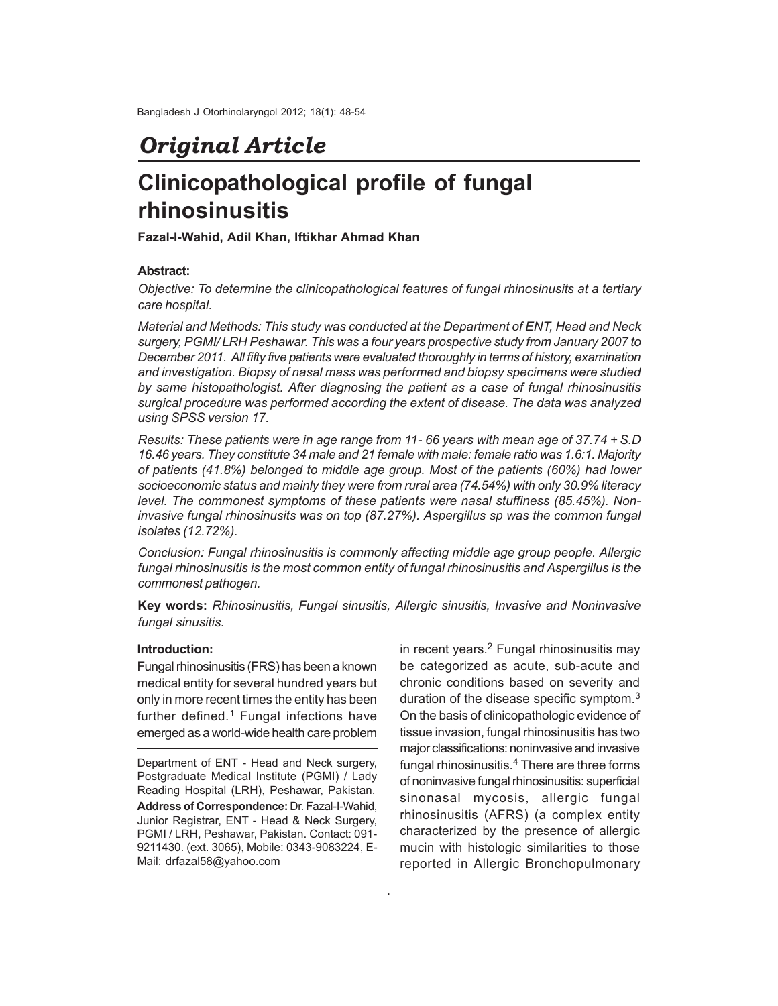## *Original Article*

# **Clinicopathological profile of fungal rhinosinusitis**

**Fazal-I-Wahid, Adil Khan, Iftikhar Ahmad Khan**

#### **Abstract:**

*Objective: To determine the clinicopathological features of fungal rhinosinusits at a tertiary care hospital.*

*Material and Methods: This study was conducted at the Department of ENT, Head and Neck surgery, PGMI/ LRH Peshawar. This was a four years prospective study from January 2007 to December 2011. All fifty five patients were evaluated thoroughly in terms of history, examination and investigation. Biopsy of nasal mass was performed and biopsy specimens were studied by same histopathologist. After diagnosing the patient as a case of fungal rhinosinusitis surgical procedure was performed according the extent of disease. The data was analyzed using SPSS version 17.*

*Results: These patients were in age range from 11- 66 years with mean age of 37.74 + S.D 16.46 years. They constitute 34 male and 21 female with male: female ratio was 1.6:1. Majority of patients (41.8%) belonged to middle age group. Most of the patients (60%) had lower socioeconomic status and mainly they were from rural area (74.54%) with only 30.9% literacy level. The commonest symptoms of these patients were nasal stuffiness (85.45%). Noninvasive fungal rhinosinusits was on top (87.27%). Aspergillus sp was the common fungal isolates (12.72%).*

*Conclusion: Fungal rhinosinusitis is commonly affecting middle age group people. Allergic fungal rhinosinusitis is the most common entity of fungal rhinosinusitis and Aspergillus is the commonest pathogen.*

**Key words:** *Rhinosinusitis, Fungal sinusitis, Allergic sinusitis, Invasive and Noninvasive fungal sinusitis.*

.

#### **Introduction:**

Fungal rhinosinusitis (FRS) has been a known medical entity for several hundred years but only in more recent times the entity has been further defined.<sup>1</sup> Fungal infections have emerged as a world-wide health care problem

Department of ENT - Head and Neck surgery, Postgraduate Medical Institute (PGMI) / Lady Reading Hospital (LRH), Peshawar, Pakistan. **Address of Correspondence:** Dr. Fazal-I-Wahid, Junior Registrar, ENT - Head & Neck Surgery, PGMI / LRH, Peshawar, Pakistan. Contact: 091- 9211430. (ext. 3065), Mobile: 0343-9083224, E-Mail: drfazal58@yahoo.com

in recent years.<sup>2</sup> Fungal rhinosinusitis may be categorized as acute, sub-acute and chronic conditions based on severity and duration of the disease specific symptom.<sup>3</sup> On the basis of clinicopathologic evidence of tissue invasion, fungal rhinosinusitis has two major classifications: noninvasive and invasive fungal rhinosinusitis.<sup>4</sup> There are three forms of noninvasive fungal rhinosinusitis: superficial sinonasal mycosis, allergic fungal rhinosinusitis (AFRS) (a complex entity characterized by the presence of allergic mucin with histologic similarities to those reported in Allergic Bronchopulmonary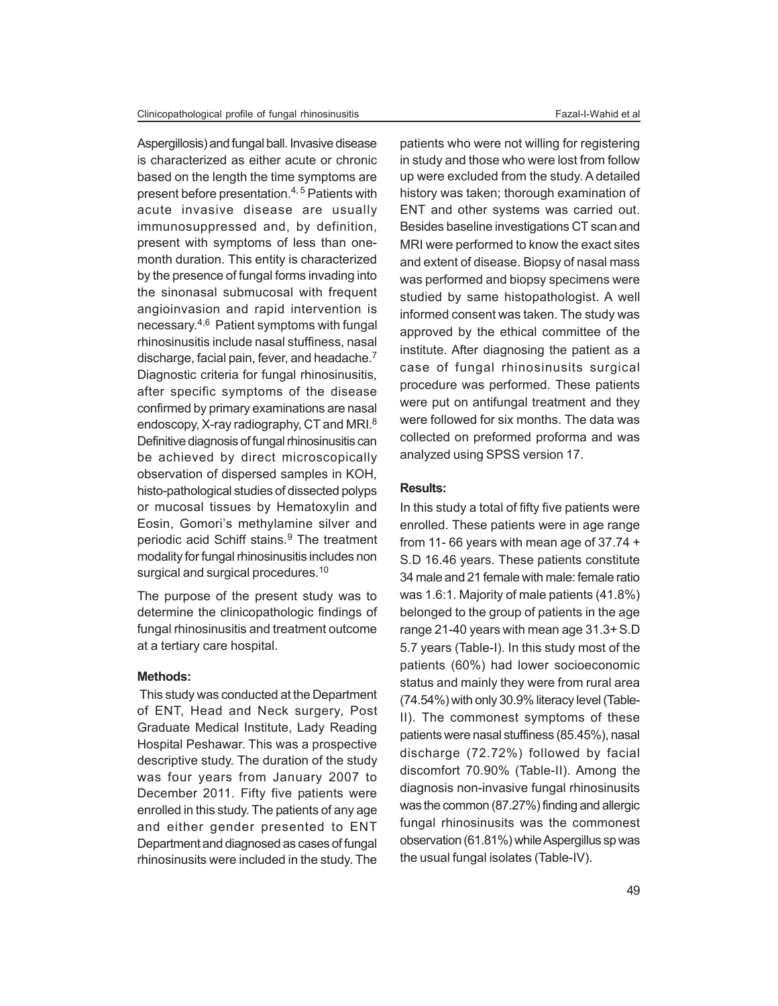Aspergillosis) and fungal ball. Invasive disease is characterized as either acute or chronic based on the length the time symptoms are present before presentation.4, 5 Patients with acute invasive disease are usually immunosuppressed and, by definition, present with symptoms of less than onemonth duration. This entity is characterized by the presence of fungal forms invading into the sinonasal submucosal with frequent angioinvasion and rapid intervention is necessary. 4,6 Patient symptoms with fungal rhinosinusitis include nasal stuffiness, nasal discharge, facial pain, fever, and headache.<sup>7</sup> Diagnostic criteria for fungal rhinosinusitis, after specific symptoms of the disease confirmed by primary examinations are nasal endoscopy, X-ray radiography, CT and MRI.<sup>8</sup> Definitive diagnosis of fungal rhinosinusitis can be achieved by direct microscopically observation of dispersed samples in KOH, histo-pathological studies of dissected polyps or mucosal tissues by Hematoxylin and Eosin, Gomori's methylamine silver and periodic acid Schiff stains.<sup>9</sup> The treatment modality for fungal rhinosinusitis includes non surgical and surgical procedures.<sup>10</sup>

The purpose of the present study was to determine the clinicopathologic findings of fungal rhinosinusitis and treatment outcome at a tertiary care hospital.

#### **Methods:**

This study was conducted at the Department of ENT, Head and Neck surgery, Post Graduate Medical Institute, Lady Reading Hospital Peshawar. This was a prospective descriptive study. The duration of the study was four years from January 2007 to December 2011. Fifty five patients were enrolled in this study. The patients of any age and either gender presented to ENT Department and diagnosed as cases of fungal rhinosinusits were included in the study. The

patients who were not willing for registering in study and those who were lost from follow up were excluded from the study. A detailed history was taken; thorough examination of ENT and other systems was carried out. Besides baseline investigations CT scan and MRI were performed to know the exact sites and extent of disease. Biopsy of nasal mass was performed and biopsy specimens were studied by same histopathologist. A well informed consent was taken. The study was approved by the ethical committee of the institute. After diagnosing the patient as a case of fungal rhinosinusits surgical procedure was performed. These patients were put on antifungal treatment and they were followed for six months. The data was collected on preformed proforma and was analyzed using SPSS version 17.

#### **Results:**

In this study a total of fifty five patients were enrolled. These patients were in age range from 11-66 years with mean age of  $37.74 +$ S.D 16.46 years. These patients constitute 34 male and 21 female with male: female ratio was 1.6:1. Majority of male patients (41.8%) belonged to the group of patients in the age range 21-40 years with mean age 31.3+S.D 5.7 years (Table-I). In this study most of the patients (60%) had lower socioeconomic status and mainly they were from rural area (74.54%) with only 30.9% literacy level (Table-II). The commonest symptoms of these patients were nasal stuffiness (85.45%), nasal discharge (72.72%) followed by facial discomfort 70.90% (Table-II). Among the diagnosis non-invasive fungal rhinosinusits was the common (87.27%) finding and allergic fungal rhinosinusits was the commonest observation (61.81%) while Aspergillus sp was the usual fungal isolates (Table-IV).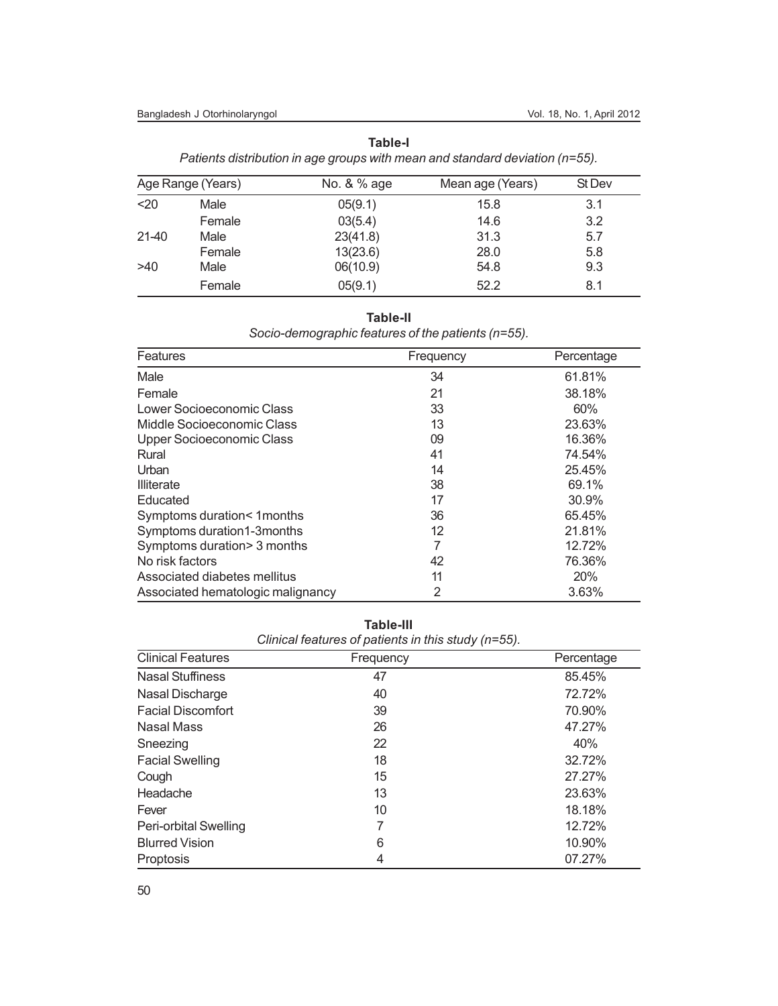#### Bangladesh J Otorhinolaryngol vol. 18, No. 1, April 2012

| u.<br>٧<br>× |
|--------------|
|--------------|

*Patients distribution in age groups with mean and standard deviation (n=55).*

| Age Range (Years) |        | No. & % age | Mean age (Years) | St Dev |  |
|-------------------|--------|-------------|------------------|--------|--|
| $20$              | Male   | 05(9.1)     | 15.8             | 3.1    |  |
|                   | Female | 03(5.4)     | 14.6             | 3.2    |  |
| $21 - 40$         | Male   | 23(41.8)    | 31.3             | 5.7    |  |
|                   | Female | 13(23.6)    | 28.0             | 5.8    |  |
| >40               | Male   | 06(10.9)    | 54.8             | 9.3    |  |
|                   | Female | 05(9.1)     | 52.2             | 8.1    |  |

**Table-II**

*Socio-demographic features of the patients (n=55).*

| <b>Features</b>                   | Frequency | Percentage |
|-----------------------------------|-----------|------------|
| Male                              | 34        | 61.81%     |
| Female                            | 21        | 38.18%     |
| Lower Socioeconomic Class         | 33        | 60%        |
| Middle Socioeconomic Class        | 13        | 23.63%     |
| <b>Upper Socioeconomic Class</b>  | 09        | 16.36%     |
| Rural                             | 41        | 74.54%     |
| Urban                             | 14        | 25.45%     |
| <b>Illiterate</b>                 | 38        | 69.1%      |
| Educated                          | 17        | 30.9%      |
| Symptoms duration< 1months        | 36        | 65.45%     |
| Symptoms duration1-3months        | 12        | 21.81%     |
| Symptoms duration> 3 months       | 7         | 12.72%     |
| No risk factors                   | 42        | 76.36%     |
| Associated diabetes mellitus      | 11        | 20%        |
| Associated hematologic malignancy | 2         | 3.63%      |

**Table-III** *Clinical features of patients in this study (n=55).*

| <b>Clinical Features</b> | Frequency | Percentage |  |  |
|--------------------------|-----------|------------|--|--|
| <b>Nasal Stuffiness</b>  | 47        | 85.45%     |  |  |
| Nasal Discharge          | 40        | 72.72%     |  |  |
| <b>Facial Discomfort</b> | 39        | 70.90%     |  |  |
| Nasal Mass               | 26        | 47.27%     |  |  |
| Sneezing                 | 22        | 40%        |  |  |
| <b>Facial Swelling</b>   | 18        | 32.72%     |  |  |
| Cough                    | 15        | 27.27%     |  |  |
| Headache                 | 13        | 23.63%     |  |  |
| Fever                    | 10        | 18.18%     |  |  |
| Peri-orbital Swelling    | 7         | 12.72%     |  |  |
| <b>Blurred Vision</b>    | 6         | 10.90%     |  |  |
| Proptosis                | 4         | 07.27%     |  |  |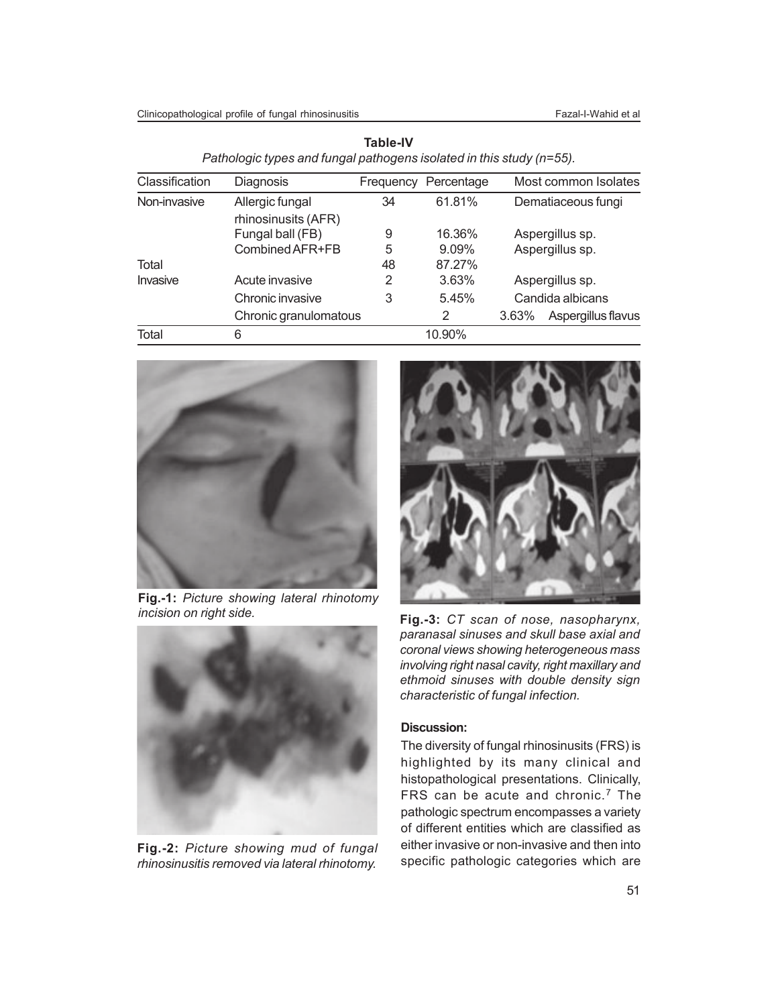Clinicopathological profile of fungal rhinosinusitis Fazal-I-Wahid et al

| Classification | Diagnosis             | Frequency | Percentage | Most common Isolates        |  |
|----------------|-----------------------|-----------|------------|-----------------------------|--|
| Non-invasive   | Allergic fungal       | 34        | 61.81%     | Dematiaceous fungi          |  |
|                | rhinosinusits (AFR)   |           |            |                             |  |
|                | Fungal ball (FB)      | 9         | 16.36%     | Aspergillus sp.             |  |
|                | Combined AFR+FB       | 5         | $9.09\%$   | Aspergillus sp.             |  |
| Total          |                       | 48        | 87.27%     |                             |  |
| Invasive       | Acute invasive        | 2         | 3.63%      | Aspergillus sp.             |  |
|                | Chronic invasive      | 3         | 5.45%      | Candida albicans            |  |
|                | Chronic granulomatous |           | 2          | 3.63%<br>Aspergillus flavus |  |
| Total          | 6                     |           | 10.90%     |                             |  |

**Table-IV** *Pathologic types and fungal pathogens isolated in this study (n=55).*



**Fig.-1:** *Picture showing lateral rhinotomy incision on right side.*



**Fig.-2:** *Picture showing mud of fungal rhinosinusitis removed via lateral rhinotomy.*



**Fig.-3:** *CT scan of nose, nasopharynx, paranasal sinuses and skull base axial and coronal views showing heterogeneous mass involving right nasal cavity, right maxillary and ethmoid sinuses with double density sign characteristic of fungal infection.*

#### **Discussion:**

The diversity of fungal rhinosinusits (FRS) is highlighted by its many clinical and histopathological presentations. Clinically, FRS can be acute and chronic.<sup>7</sup> The pathologic spectrum encompasses a variety of different entities which are classified as either invasive or non-invasive and then into specific pathologic categories which are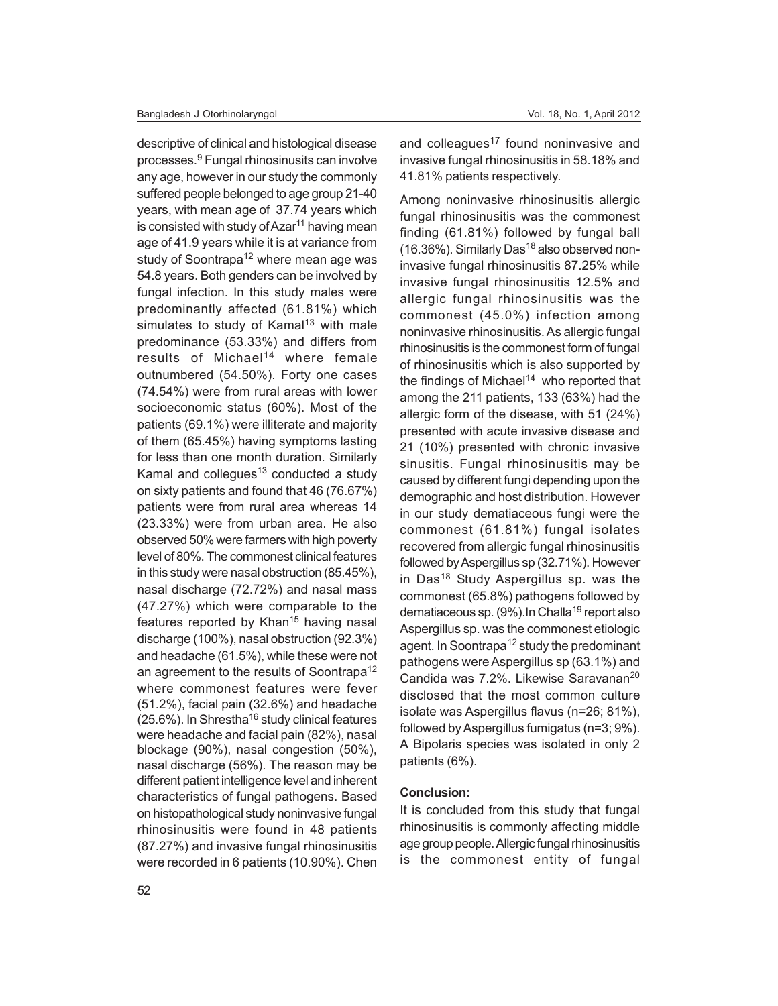descriptive of clinical and histological disease processes.<sup>9</sup> Fungal rhinosinusits can involve any age, however in our study the commonly suffered people belonged to age group 21-40 years, with mean age of 37.74 years which is consisted with study of Azar<sup>11</sup> having mean age of 41.9 years while it is at variance from study of Soontrapa<sup>12</sup> where mean age was 54.8 years. Both genders can be involved by fungal infection. In this study males were predominantly affected (61.81%) which simulates to study of Kamal<sup>13</sup> with male predominance (53.33%) and differs from results of Michael<sup>14</sup> where female outnumbered (54.50%). Forty one cases (74.54%) were from rural areas with lower socioeconomic status (60%). Most of the patients (69.1%) were illiterate and majority of them (65.45%) having symptoms lasting for less than one month duration. Similarly Kamal and collegues $13$  conducted a study on sixty patients and found that 46 (76.67%) patients were from rural area whereas 14 (23.33%) were from urban area. He also observed 50% were farmers with high poverty level of 80%. The commonest clinical features in this study were nasal obstruction (85.45%), nasal discharge (72.72%) and nasal mass (47.27%) which were comparable to the features reported by Khan<sup>15</sup> having nasal discharge (100%), nasal obstruction (92.3%) and headache (61.5%), while these were not an agreement to the results of Soontrapa<sup>12</sup> where commonest features were fever (51.2%), facial pain (32.6%) and headache  $(25.6\%)$ . In Shrestha<sup>16</sup> study clinical features were headache and facial pain (82%), nasal blockage (90%), nasal congestion (50%), nasal discharge (56%). The reason may be different patient intelligence level and inherent characteristics of fungal pathogens. Based on histopathological study noninvasive fungal rhinosinusitis were found in 48 patients (87.27%) and invasive fungal rhinosinusitis were recorded in 6 patients (10.90%). Chen

and colleagues<sup>17</sup> found noninvasive and invasive fungal rhinosinusitis in 58.18% and 41.81% patients respectively.

Among noninvasive rhinosinusitis allergic fungal rhinosinusitis was the commonest finding (61.81%) followed by fungal ball (16.36%). Similarly Das<sup>18</sup> also observed noninvasive fungal rhinosinusitis 87.25% while invasive fungal rhinosinusitis 12.5% and allergic fungal rhinosinusitis was the commonest (45.0%) infection among noninvasive rhinosinusitis. As allergic fungal rhinosinusitis is the commonest form of fungal of rhinosinusitis which is also supported by the findings of Michael<sup>14</sup> who reported that among the 211 patients, 133 (63%) had the allergic form of the disease, with 51 (24%) presented with acute invasive disease and 21 (10%) presented with chronic invasive sinusitis. Fungal rhinosinusitis may be caused by different fungi depending upon the demographic and host distribution. However in our study dematiaceous fungi were the commonest (61.81%) fungal isolates recovered from allergic fungal rhinosinusitis followed by Aspergillus sp (32.71%). However in Das<sup>18</sup> Study Aspergillus sp. was the commonest (65.8%) pathogens followed by dematiaceous sp. (9%). In Challa<sup>19</sup> report also Aspergillus sp. was the commonest etiologic agent. In Soontrapa<sup>12</sup> study the predominant pathogens were Aspergillus sp (63.1%) and Candida was 7.2%. Likewise Saravanan<sup>20</sup> disclosed that the most common culture isolate was Aspergillus flavus (n=26; 81%), followed by Aspergillus fumigatus (n=3; 9%). A Bipolaris species was isolated in only 2 patients (6%).

#### **Conclusion:**

It is concluded from this study that fungal rhinosinusitis is commonly affecting middle age group people. Allergic fungal rhinosinusitis is the commonest entity of fungal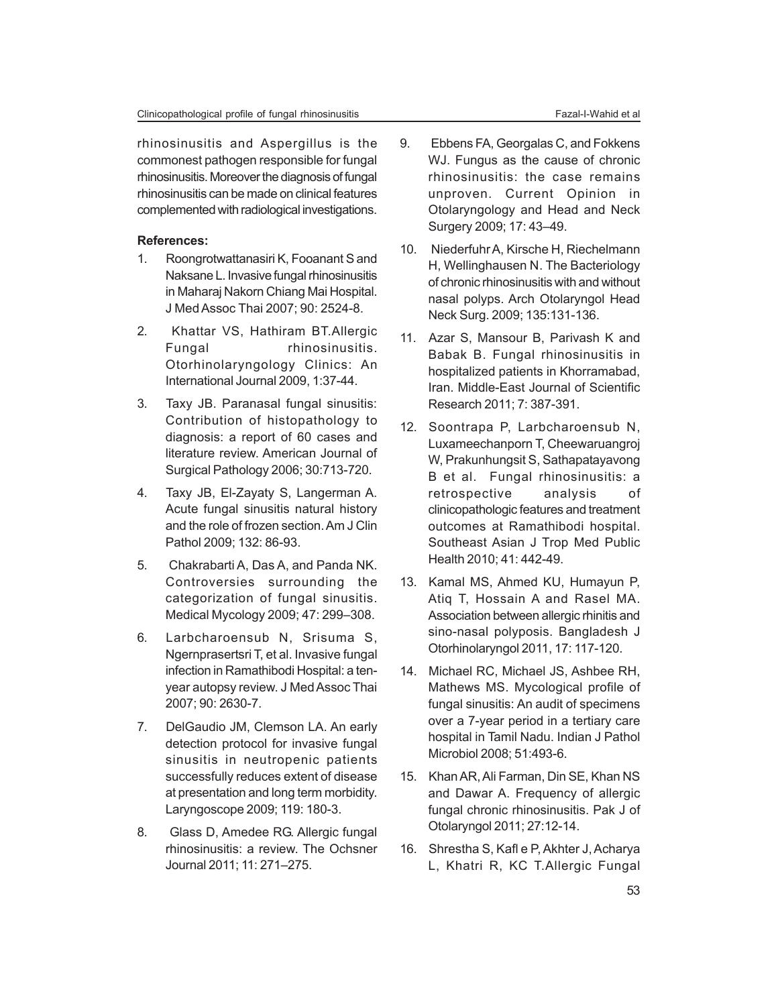rhinosinusitis and Aspergillus is the commonest pathogen responsible for fungal rhinosinusitis. Moreover the diagnosis of fungal rhinosinusitis can be made on clinical features complemented with radiological investigations.

### **References:**

- 1. Roongrotwattanasiri K, Fooanant S and Naksane L. Invasive fungal rhinosinusitis in Maharaj Nakorn Chiang Mai Hospital. J Med Assoc Thai 2007; 90: 2524-8.
- 2. Khattar VS, Hathiram BT.Allergic Fungal rhinosinusitis. Otorhinolaryngology Clinics: An International Journal 2009, 1:37-44.
- 3. Taxy JB. Paranasal fungal sinusitis: Contribution of histopathology to diagnosis: a report of 60 cases and literature review. American Journal of Surgical Pathology 2006; 30:713-720.
- 4. Taxy JB, El-Zayaty S, Langerman A. Acute fungal sinusitis natural history and the role of frozen section. Am J Clin Pathol 2009; 132: 86-93.
- 5. Chakrabarti A, Das A, and Panda NK. Controversies surrounding the categorization of fungal sinusitis. Medical Mycology 2009; 47: 299–308.
- 6. Larbcharoensub N, Srisuma S, Ngernprasertsri T, et al. Invasive fungal infection in Ramathibodi Hospital: a tenyear autopsy review. J Med Assoc Thai 2007; 90: 2630-7.
- 7. DelGaudio JM, Clemson LA. An early detection protocol for invasive fungal sinusitis in neutropenic patients successfully reduces extent of disease at presentation and long term morbidity. Laryngoscope 2009; 119: 180-3.
- 8. Glass D, Amedee RG. Allergic fungal rhinosinusitis: a review. The Ochsner Journal 2011; 11: 271–275.
- 9. Ebbens FA, Georgalas C, and Fokkens WJ. Fungus as the cause of chronic rhinosinusitis: the case remains unproven. Current Opinion in Otolaryngology and Head and Neck Surgery 2009; 17: 43–49.
- 10. Niederfuhr A, Kirsche H, Riechelmann H, Wellinghausen N. The Bacteriology of chronic rhinosinusitis with and without nasal polyps. Arch Otolaryngol Head Neck Surg. 2009; 135:131-136.
- 11. Azar S, Mansour B, Parivash K and Babak B. Fungal rhinosinusitis in hospitalized patients in Khorramabad, Iran. Middle-East Journal of Scientific Research 2011; 7: 387-391.
- 12. Soontrapa P, Larbcharoensub N, Luxameechanporn T, Cheewaruangroj W, Prakunhungsit S, Sathapatayavong B et al. Fungal rhinosinusitis: a retrospective analysis of clinicopathologic features and treatment outcomes at Ramathibodi hospital. Southeast Asian J Trop Med Public Health 2010; 41: 442-49.
- 13. Kamal MS, Ahmed KU, Humayun P, Atiq T, Hossain A and Rasel MA. Association between allergic rhinitis and sino-nasal polyposis. Bangladesh J Otorhinolaryngol 2011, 17: 117-120.
- 14. Michael RC, Michael JS, Ashbee RH, Mathews MS. Mycological profile of fungal sinusitis: An audit of specimens over a 7-year period in a tertiary care hospital in Tamil Nadu. Indian J Pathol Microbiol 2008; 51:493-6.
- 15. Khan AR, Ali Farman, Din SE, Khan NS and Dawar A. Frequency of allergic fungal chronic rhinosinusitis. Pak J of Otolaryngol 2011; 27:12-14.
- 16. Shrestha S, Kafl e P, Akhter J, Acharya L, Khatri R, KC T.Allergic Fungal